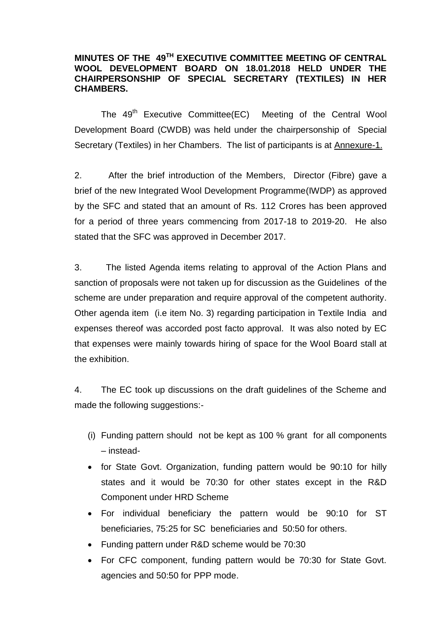## **MINUTES OF THE 49TH EXECUTIVE COMMITTEE MEETING OF CENTRAL WOOL DEVELOPMENT BOARD ON 18.01.2018 HELD UNDER THE CHAIRPERSONSHIP OF SPECIAL SECRETARY (TEXTILES) IN HER CHAMBERS.**

The 49<sup>th</sup> Executive Committee(EC) Meeting of the Central Wool Development Board (CWDB) was held under the chairpersonship of Special Secretary (Textiles) in her Chambers. The list of participants is at Annexure-1.

2. After the brief introduction of the Members, Director (Fibre) gave a brief of the new Integrated Wool Development Programme(IWDP) as approved by the SFC and stated that an amount of Rs. 112 Crores has been approved for a period of three years commencing from 2017-18 to 2019-20. He also stated that the SFC was approved in December 2017.

3. The listed Agenda items relating to approval of the Action Plans and sanction of proposals were not taken up for discussion as the Guidelines of the scheme are under preparation and require approval of the competent authority. Other agenda item (i.e item No. 3) regarding participation in Textile India and expenses thereof was accorded post facto approval. It was also noted by EC that expenses were mainly towards hiring of space for the Wool Board stall at the exhibition.

4. The EC took up discussions on the draft guidelines of the Scheme and made the following suggestions:-

- (i) Funding pattern should not be kept as 100 % grant for all components – instead-
- for State Govt. Organization, funding pattern would be 90:10 for hilly states and it would be 70:30 for other states except in the R&D Component under HRD Scheme
- For individual beneficiary the pattern would be 90:10 for ST beneficiaries, 75:25 for SC beneficiaries and 50:50 for others.
- Funding pattern under R&D scheme would be 70:30
- For CFC component, funding pattern would be 70:30 for State Govt. agencies and 50:50 for PPP mode.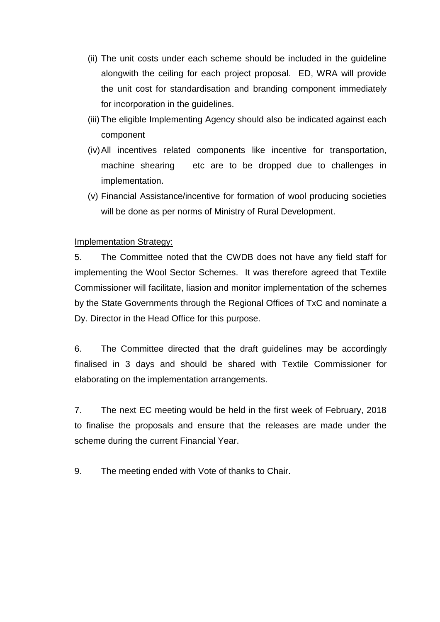- (ii) The unit costs under each scheme should be included in the guideline alongwith the ceiling for each project proposal. ED, WRA will provide the unit cost for standardisation and branding component immediately for incorporation in the guidelines.
- (iii) The eligible Implementing Agency should also be indicated against each component
- (iv)All incentives related components like incentive for transportation, machine shearing etc are to be dropped due to challenges in implementation.
- (v) Financial Assistance/incentive for formation of wool producing societies will be done as per norms of Ministry of Rural Development.

## Implementation Strategy:

5. The Committee noted that the CWDB does not have any field staff for implementing the Wool Sector Schemes. It was therefore agreed that Textile Commissioner will facilitate, liasion and monitor implementation of the schemes by the State Governments through the Regional Offices of TxC and nominate a Dy. Director in the Head Office for this purpose.

6. The Committee directed that the draft guidelines may be accordingly finalised in 3 days and should be shared with Textile Commissioner for elaborating on the implementation arrangements.

7. The next EC meeting would be held in the first week of February, 2018 to finalise the proposals and ensure that the releases are made under the scheme during the current Financial Year.

9. The meeting ended with Vote of thanks to Chair.